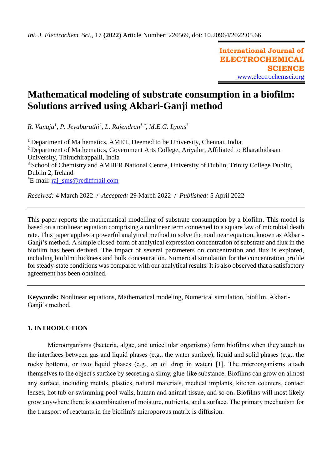**International Journal of ELECTROCHEMICAL SCIENCE** [www.electrochemsci.org](http://www.electrochemsci.org/)

# **Mathematical modeling of substrate consumption in a biofilm: Solutions arrived using Akbari-Ganji method**

*R. Vanaja<sup>1</sup> , P. Jeyabarathi<sup>2</sup> , L. Rajendran1,\* , M.E.G. Lyons<sup>3</sup>*

<sup>1</sup> Department of Mathematics, AMET, Deemed to be University, Chennai, India. <sup>2</sup> Department of Mathematics, Government Arts College, Ariyalur, Affiliated to Bharathidasan University, Thiruchirappalli, India <sup>3</sup> School of Chemistry and AMBER National Centre, University of Dublin, Trinity College Dublin, Dublin 2, Ireland \*E-mail: [raj\\_sms@rediffmail.com](mailto:raj_sms@rediffmail.com)

*Received:* 4 March 2022/ *Accepted:* 29 March 2022 / *Published:* 5 April 2022

This paper reports the mathematical modelling of substrate consumption by a biofilm. This model is based on a nonlinear equation comprising a nonlinear term connected to a square law of microbial death rate. This paper applies a powerful analytical method to solve the nonlinear equation, known as Akbari-Ganji's method. A simple closed-form of analytical expression concentration of substrate and flux in the biofilm has been derived. The impact of several parameters on concentration and flux is explored, including biofilm thickness and bulk concentration. Numerical simulation for the concentration profile for steady-state conditions was compared with our analytical results. It is also observed that a satisfactory agreement has been obtained.

**Keywords:** Nonlinear equations, Mathematical modeling, Numerical simulation, biofilm, Akbari-Ganji's method.

# **1. INTRODUCTION**

Microorganisms (bacteria, algae, and unicellular organisms) form biofilms when they attach to the interfaces between gas and liquid phases (e.g., the water surface), liquid and solid phases (e.g., the rocky bottom), or two liquid phases (e.g., an oil drop in water) [1]. The microorganisms attach themselves to the object's surface by secreting a slimy, glue-like substance. Biofilms can grow on almost any surface, including metals, plastics, natural materials, medical implants, kitchen counters, contact lenses, hot tub or swimming pool walls, human and animal tissue, and so on. Biofilms will most likely grow anywhere there is a combination of moisture, nutrients, and a surface. The primary mechanism for the transport of reactants in the biofilm's microporous matrix is diffusion.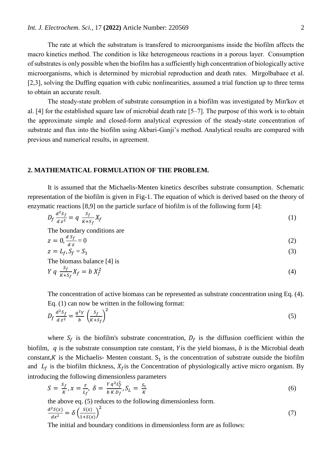The rate at which the substratum is transfered to microorganisms inside the biofilm affects the macro kinetics method. The condition is like heterogeneous reactions in a porous layer. Consumption of substrates is only possible when the biofilm has a sufficiently high concentration of biologically active microorganisms, which is determined by microbial reproduction and death rates. Mirgolbabaee et al. [2,3], solving the Duffing equation with cubic nonlinearities, assumed a trial function up to three terms to obtain an accurate result.

The steady-state problem of substrate consumption in a biofilm was investigated by Min'kov et al. [4] for the established square law of microbial death rate [5–7]. The purpose of this work is to obtain the approximate simple and closed-form analytical expression of the steady-state concentration of substrate and flux into the biofilm using Akbari-Ganji's method. Analytical results are compared with previous and numerical results, in agreement.

#### **2. MATHEMATICAL FORMULATION OF THE PROBLEM.**

It is assumed that the Michaelis-Menten kinetics describes substrate consumption. Schematic representation of the biofilm is given in Fig-1. The equation of which is derived based on the theory of enzymatic reactions [8,9] on the particle surface of biofilm is of the following form [4]:

$$
D_f \frac{d^2 S_f}{d z^2} = q \frac{S_f}{K + S_f} X_f \tag{1}
$$

The boundary conditions are

$$
z = 0, \frac{d \, S_f}{d \, z} = 0 \tag{2}
$$

$$
z = L_f, S_f = S_1 \tag{3}
$$

The biomass balance [4] is

$$
Y q \frac{S_f}{K + S_f} X_f = b X_f^2 \tag{4}
$$

The concentration of active biomass can be represented as substrate concentration using Eq. (4). Eq. (1) can now be written in the following format:

$$
D_f \frac{d^2 S_f}{d z^2} = \frac{q^2 Y}{b} \left(\frac{S_f}{K + S_f}\right)^2 \tag{5}
$$

where  $S_f$  is the biofilm's substrate concentration,  $D_f$  is the diffusion coefficient within the biofilm,  $q$  is the substrate consumption rate constant, Y is the yield biomass,  $b$  is the Microbial death constant, K is the Michaelis- Menten constant.  $S_1$  is the concentration of substrate outside the biofilm and  $L_f$  is the biofilm thickness,  $X_f$  is the Concentration of physiologically active micro organism. By introducing the following dimensionless parameters

$$
S = \frac{S_f}{K}, x = \frac{z}{L_f}, \delta = \frac{Yq^2L_f^2}{bKD_f}, S_L = \frac{S_1}{K}
$$
 (6)

the above eq. (5) reduces to the following dimensionless form.

$$
\frac{d^2S(x)}{dx^2} = \delta \left(\frac{S(x)}{1+S(x)}\right)^2 \tag{7}
$$

The initial and boundary conditions in dimensionless form are as follows: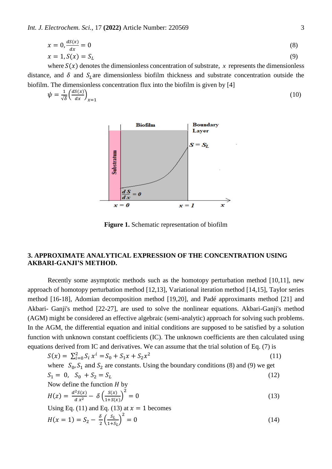*Int. J. Electrochem. Sci.,* 17 **(2022)** Article Number: 220569 3

$$
x = 0, \frac{dS(x)}{dx} = 0
$$
  
\n
$$
x = 1, S(x) = S_L
$$
\n(8)

where  $S(x)$  denotes the dimensionless concentration of substrate, x represents the dimensionless distance, and  $\delta$  and  $S_l$  are dimensionless biofilm thickness and substrate concentration outside the biofilm. The dimensionless concentration flux into the biofilm is given by [4]

$$
\psi = \frac{1}{\sqrt{\delta}} \left( \frac{dS(x)}{dx} \right)_{x=1} \tag{10}
$$



**Figure 1.** Schematic representation of biofilm

## **3. APPROXIMATE ANALYTICAL EXPRESSION OF THE CONCENTRATION USING AKBARI-GANJI'S METHOD.**

Recently some asymptotic methods such as the homotopy perturbation method [10,11], new approach of homotopy perturbation method [12,13], Variational iteration method [14,15], Taylor series method [16-18], Adomian decomposition method [19,20], and Padé approximants method [21] and Akbari- Ganji's method [22-27], are used to solve the nonlinear equations. Akbari-Ganji's method (AGM) might be considered an effective algebraic (semi-analytic) approach for solving such problems. In the AGM, the differential equation and initial conditions are supposed to be satisfied by a solution function with unknown constant coefficients (IC). The unknown coefficients are then calculated using equations derived from IC and derivatives. We can assume that the trial solution of Eq. (7) is

$$
S(x) = \sum_{i=0}^{2} S_i x^i = S_0 + S_1 x + S_2 x^2
$$
 (11)  
where  $S_0, S_1$  and  $S_2$  are constants. Using the boundary conditions (8) and (9) we get  

$$
S_1 = 0, S_0 + S_2 = S_L
$$
 (12)  
Now define the function *H* by  

$$
H(z) = \frac{d^2 S(x)}{dx^2} - \delta \left(\frac{S(x)}{1 + S(x)}\right)^2 = 0
$$
  
Using Eq. (11) and Eq. (13) at  $x = 1$  becomes  

$$
H(x = 1) = S_2 - \frac{\delta}{2} \left(\frac{S_L}{1 + S_L}\right)^2 = 0
$$
 (14)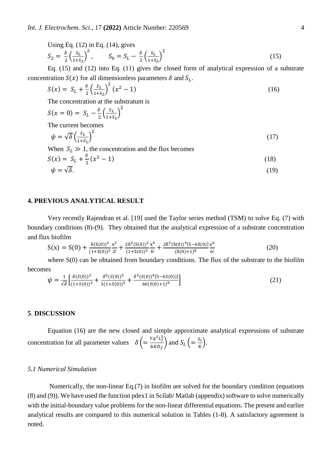Using Eq. (12) in Eq. (14), gives  
\n
$$
S_2 = \frac{\delta}{2} \left( \frac{S_L}{1 + S_L} \right)^2, \qquad S_0 = S_L - \frac{\delta}{2} \left( \frac{S_L}{1 + S_L} \right)^2
$$
\n(15)

Eq.  $(15)$  and  $(12)$  into Eq.  $(11)$  gives the closed form of analytical expression of a substrate concentration  $S(x)$  for all dimensionless parameters  $\delta$  and  $S_L$ .

$$
S(x) = S_L + \frac{\delta}{2} \left( \frac{S_L}{1 + S_L} \right)^2 (x^2 - 1) \tag{16}
$$

The concentration at the substratum is

$$
S(x = 0) = S_L - \frac{\delta}{2} \left(\frac{S_L}{1 + S_L}\right)^2
$$
  
The current becomes

$$
\psi = \sqrt{\delta} \left( \frac{s_L}{1 + s_L} \right)^2 \tag{17}
$$

When  $S_L \gg 1$ , the concentration and the flux becomes

$$
S(x) = S_L + \frac{\delta}{2}(x^2 - 1)
$$
\n(18)

$$
\psi = \sqrt{\delta}.\tag{19}
$$

## **4. PREVIOUS ANALYTICAL RESULT**

Very recently Rajendran et al. [19] used the Taylor series method (TSM) to solve Eq. (7) with boundary conditions (8)-(9). They obtained that the analytical expression of a substrate concentration and flux biofilm

$$
S(x) = S(0) + \frac{\delta(S(0))^2}{(1+S(0))^2} \frac{x^2}{2!} + \frac{2\delta^2(S(0))^3}{(1+S(0))^5} \frac{x^4}{4!} + \frac{2\delta^3(S(0))^4[5-6S(0)]}{(S(0)+1)^8} \frac{x^6}{6!}
$$
(20)

where  $S(0)$  can be obtained from boundary conditions. The flux of the substrate to the biofilm becomes

$$
\psi = \frac{1}{\sqrt{\delta}} \left[ \frac{\delta(S(0))^2}{(1+S(0))^2} + \frac{\delta^2(S(0))^3}{3(1+S(0))^5} + \frac{\delta^3(S(0))^4 [5-6S(0))]}{60(S(0)+1)^8} \right]
$$
\n(21)

## **5**. **DISCUSSION**

Equation (16) are the new closed and simple approximate analytical expressions of substrate concentration for all parameter values  $\delta \left( = \frac{Yq^2L_f^2}{\hbar K R} \right)$  $\frac{Yq^2L_f^2}{bKD_f}$  and  $S_L$   $\left(=\frac{S_1}{K}\right)$  $\frac{S_1}{K}$ .

#### *5.1 Numerical Simulation*

Numerically, the non-linear Eq.(7) in biofilm are solved for the boundary condition (equations (8) and (9)). We have used the function pdex1 in Scilab/ Matlab (appendix) software to solve numerically with the initial-boundary value problems for the non-linear differential equations. The present and earlier analytical results are compared to this numerical solution in Tables (1-8). A satisfactory agreement is noted.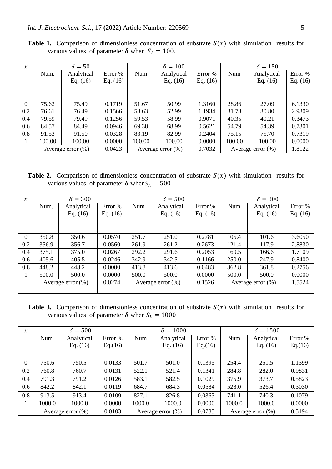| $\boldsymbol{\chi}$ |        | $\delta = 50$         |            |        | $\delta = 100$        |            |                      | $\delta = 150$ |            |
|---------------------|--------|-----------------------|------------|--------|-----------------------|------------|----------------------|----------------|------------|
|                     | Num.   | Analytical            | Error %    | Num    | Analytical            | Error %    | Num                  | Analytical     | Error %    |
|                     |        | Eq. $(16)$            | Eq. $(16)$ |        | Eq. $(16)$            | Eq. $(16)$ |                      | Eq. $(16)$     | Eq. $(16)$ |
|                     |        |                       |            |        |                       |            |                      |                |            |
|                     |        |                       |            |        |                       |            |                      |                |            |
| $\theta$            | 75.62  | 75.49                 | 0.1719     | 51.67  | 50.99                 | 1.3160     | 28.86                | 27.09          | 6.1330     |
| 0.2                 | 76.61  | 76.49                 | 0.1566     | 53.63  | 52.99                 | 1.1934     | 31.73                | 30.80          | 2.9309     |
| 0.4                 | 79.59  | 79.49                 | 0.1256     | 59.53  | 58.99                 | 0.9071     | 40.35                | 40.21          | 0.3473     |
| 0.6                 | 84.57  | 84.49                 | 0.0946     | 69.38  | 68.99                 | 0.5621     | 54.79                | 54.39          | 0.7301     |
| 0.8                 | 91.53  | 91.50                 | 0.0328     | 83.19  | 82.99                 | 0.2404     | 75.15                | 75.70          | 0.7319     |
|                     | 100.00 | 100.00                | 0.0000     | 100.00 | 100.00                | 0.0000     | 100.00               | 100.00         | 0.0000     |
|                     |        | Average error $(\% )$ | 0.0423     |        | Average error $(\% )$ | 0.7032     | Average error $(\%)$ |                | 1.8122     |

**Table 1.** Comparison of dimensionless concentration of substrate  $S(x)$  with simulation results for various values of parameter  $\delta$  when  $S_L = 100$ .

**Table 2.** Comparison of dimensionless concentration of substrate  $S(x)$  with simulation results for various values of parameter  $\delta$  when  $S_L = 500$ 

| $\boldsymbol{\chi}$ |                      | $\delta = 300$ |            |                      | $\delta = 500$ |            |                      | $\delta = 800$ |            |
|---------------------|----------------------|----------------|------------|----------------------|----------------|------------|----------------------|----------------|------------|
|                     | Num.                 | Analytical     | Error %    | Num                  | Analytical     | Error %    | Num                  | Analytical     | Error %    |
|                     |                      | Eq. $(16)$     | Eq. $(16)$ |                      | Eq. $(16)$     | Eq. $(16)$ |                      | Eq. $(16)$     | Eq. $(16)$ |
|                     |                      |                |            |                      |                |            |                      |                |            |
|                     |                      |                |            |                      |                |            |                      |                |            |
| $\theta$            | 350.8                | 350.6          | 0.0570     | 251.7                | 251.0          | 0.2781     | 105.4                | 101.6          | 3.6050     |
| 0.2                 | 356.9                | 356.7          | 0.0560     | 261.9                | 261.2          | 0.2673     | 121.4                | 117.9          | 2.8830     |
| 0.4                 | 375.1                | 375.0          | 0.0267     | 292.2                | 291.6          | 0.2053     | 169.5                | 166.6          | 1.7109     |
| 0.6                 | 405.6                | 405.5          | 0.0246     | 342.9                | 342.5          | 0.1166     | 250.0                | 247.9          | 0.8400     |
| 0.8                 | 448.2                | 448.2          | 0.0000     | 413.8                | 413.6          | 0.0483     | 362.8                | 361.8          | 0.2756     |
|                     | 500.0                | 500.0          | 0.0000     | 500.0                | 500.0          | 0.0000     | 500.0                | 500.0          | 0.0000     |
|                     | Average error $(\%)$ |                | 0.0274     | Average error $(\%)$ |                | 0.1526     | Average error $(\%)$ |                | 1.5524     |
|                     |                      |                |            |                      |                |            |                      |                |            |

**Table 3.** Comparison of dimensionless concentration of substrate  $S(x)$  with simulation results for various values of parameter  $\delta$  when  $S_L = 1000$ 

| $\chi$   |        | $\delta = 500$        |         |        | $\delta = 1000$       |         | $\delta = 1500$       |            |         |
|----------|--------|-----------------------|---------|--------|-----------------------|---------|-----------------------|------------|---------|
|          | Num.   | Analytical            | Error % | Num    | Analytical            | Error % | Num                   | Analytical | Error % |
|          |        | Eq. $(16)$            | Eq.(16) |        | Eq. $(16)$            | Eq.(16) |                       | Eq. $(16)$ | Eq.(16) |
|          |        |                       |         |        |                       |         |                       |            |         |
| $\Omega$ | 750.6  | 750.5                 | 0.0133  | 501.7  | 501.0                 | 0.1395  | 254.4                 | 251.5      | 1.1399  |
| 0.2      | 760.8  | 760.7                 | 0.0131  | 522.1  | 521.4                 | 0.1341  | 284.8                 | 282.0      | 0.9831  |
| 0.4      | 791.3  | 791.2                 | 0.0126  | 583.1  | 582.5                 | 0.1029  | 375.9                 | 373.7      | 0.5823  |
| 0.6      | 842.2  | 842.1                 | 0.0119  | 684.7  | 684.3                 | 0.0584  | 528.0                 | 526.4      | 0.3030  |
| 0.8      | 913.5  | 913.4                 | 0.0109  | 827.1  | 826.8                 | 0.0363  | 741.1                 | 740.3      | 0.1079  |
|          | 1000.0 | 1000.0                | 0.0000  | 1000.0 | 1000.0                | 0.0000  | 1000.0                | 1000.0     | 0.0000  |
|          |        | Average error $(\% )$ | 0.0103  |        | Average error $(\% )$ | 0.0785  | Average error $(\% )$ |            | 0.5194  |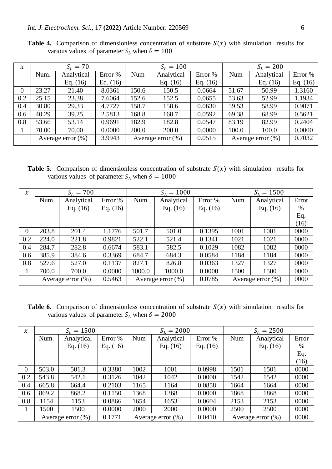| $\chi$           |                       | $S_L = 70$ |            |       | $S_L = 100$          |            | $S_L = 200$          |            |            |
|------------------|-----------------------|------------|------------|-------|----------------------|------------|----------------------|------------|------------|
|                  | Num.                  | Analytical | Error %    | Num   | Analytical           | Error %    | Num                  | Analytical | Error %    |
|                  |                       | Eq. $(16)$ | Eq. $(16)$ |       | Eq. $(16)$           | Eq. $(16)$ |                      | Eq. $(16)$ | Eq. $(16)$ |
| $\boldsymbol{0}$ | 23.27                 | 21.40      | 8.0361     | 150.6 | 150.5                | 0.0664     | 51.67                | 50.99      | 1.3160     |
| 0.2              | 25.15                 | 23.38      | 7.6064     | 152.6 | 152.5                | 0.0655     | 53.63                | 52.99      | 1.1934     |
| 0.4              | 30.80                 | 29.33      | 4.7727     | 158.7 | 158.6                | 0.0630     | 59.53                | 58.99      | 0.9071     |
| 0.6              | 40.29                 | 39.25      | 2.5813     | 168.8 | 168.7                | 0.0592     | 69.38                | 68.99      | 0.5621     |
| 0.8              | 53.66                 | 53.14      | 0.9691     | 182.9 | 182.8                | 0.0547     | 83.19                | 82.99      | 0.2404     |
|                  | 70.00                 | 70.00      | 0.0000     | 200.0 | 200.0                | 0.0000     | 100.0                | 100.0      | 0.0000     |
|                  | Average error $(\% )$ |            | 3.9943     |       | Average error $(\%)$ | 0.0515     | Average error $(\%)$ |            | 0.7032     |

**Table 4.** Comparison of dimensionless concentration of substrate  $S(x)$  with simulation results for various values of parameter  $S_L$  when  $\delta = 100$ 

**Table 5.** Comparison of dimensionless concentration of substrate  $S(x)$  with simulation results for various values of parameter  $S_L$  when  $\delta = 1000$ 

| $\boldsymbol{\chi}$ |                      | $S_L = 700$ |            |                      | $S_L = 1000$ |            | $S_L = 1500$         |            |       |
|---------------------|----------------------|-------------|------------|----------------------|--------------|------------|----------------------|------------|-------|
|                     | Num.                 | Analytical  | Error %    | Num                  | Analytical   | Error %    | Num                  | Analytical | Error |
|                     |                      | Eq. $(16)$  | Eq. $(16)$ |                      | Eq. $(16)$   | Eq. $(16)$ |                      | Eq. $(16)$ | $\%$  |
|                     |                      |             |            |                      |              |            |                      |            | Eq.   |
|                     |                      |             |            |                      |              |            |                      |            | (16)  |
| $\theta$            | 203.8                | 201.4       | 1.1776     | 501.7                | 501.0        | 0.1395     | 1001                 | 1001       | 0000  |
| 0.2                 | 224.0                | 221.8       | 0.9821     | 522.1                | 521.4        | 0.1341     | 1021                 | 1021       | 0000  |
| 0.4                 | 284.7                | 282.8       | 0.6674     | 583.1                | 582.5        | 0.1029     | 1082                 | 1082       | 0000  |
| 0.6                 | 385.9                | 384.6       | 0.3369     | 684.7                | 684.3        | 0.0584     | 1184                 | 1184       | 0000  |
| 0.8                 | 527.6                | 527.0       | 0.1137     | 827.1                | 826.8        | 0.0363     | 1327                 | 1327       | 0000  |
|                     | 700.0                | 700.0       | 0.0000     | 1000.0               | 1000.0       | 0.0000     | 1500                 | 1500       | 0000  |
|                     | Average error $(\%)$ |             | 0.5463     | Average error $(\%)$ |              | 0.0785     | Average error $(\%)$ |            | 0000  |

**Table 6.** Comparison of dimensionless concentration of substrate  $S(x)$  with simulation results for various values of parameter  $S_L$  when  $\delta = 2000$ 

| $\boldsymbol{\chi}$ |       | $S_L = 1500$          |            |      | $S_L = 2000$         |            | $S_L = 2500$         |            |       |
|---------------------|-------|-----------------------|------------|------|----------------------|------------|----------------------|------------|-------|
|                     | Num.  | Analytical            | Error %    | Num  | Analytical           | Error %    | Num                  | Analytical | Error |
|                     |       | Eq. $(16)$            | Eq. $(16)$ |      | Eq. $(16)$           | Eq. $(16)$ |                      | Eq. $(16)$ | %     |
|                     |       |                       |            |      |                      |            |                      |            | Eq.   |
|                     |       |                       |            |      |                      |            |                      |            | (16)  |
| $\theta$            | 503.0 | 501.3                 | 0.3380     | 1002 | 1001                 | 0.0998     | 1501                 | 1501       | 0000  |
| 0.2                 | 543.8 | 542.1                 | 0.3126     | 1042 | 1042                 | 0.0000     | 1542                 | 1542       | 0000  |
| 0.4                 | 665.8 | 664.4                 | 0.2103     | 1165 | 1164                 | 0.0858     | 1664                 | 1664       | 0000  |
| 0.6                 | 869.2 | 868.2                 | 0.1150     | 1368 | 1368                 | 0.0000     | 1868                 | 1868       | 0000  |
| 0.8                 | 1154  | 1153                  | 0.0866     | 1654 | 1653                 | 0.0604     | 2153                 | 2153       | 0000  |
|                     | 1500  | 1500                  | 0.0000     | 2000 | 2000                 | 0.0000     | 2500                 | 2500       | 0000  |
|                     |       | Average error $(\% )$ | 0.1771     |      | Average error $(\%)$ | 0.0410     | Average error $(\%)$ |            | 0000  |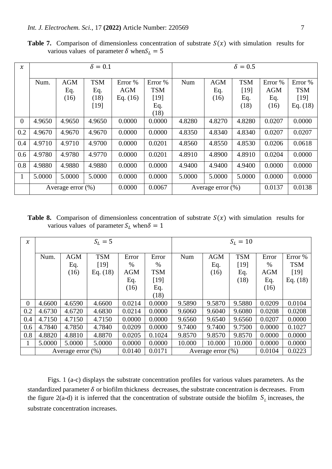| $\chi$   |        |                       | $\delta = 0.1$ |            |            |        | $\delta = 0.5$        |            |            |            |  |
|----------|--------|-----------------------|----------------|------------|------------|--------|-----------------------|------------|------------|------------|--|
|          |        |                       |                |            |            |        |                       |            |            |            |  |
|          | Num.   | <b>AGM</b>            | <b>TSM</b>     | Error %    | Error %    | Num    | <b>AGM</b>            | <b>TSM</b> | Error %    | Error %    |  |
|          |        | Eq.                   | Eq.            | <b>AGM</b> | <b>TSM</b> |        | Eq.                   | [19]       | <b>AGM</b> | <b>TSM</b> |  |
|          |        | (16)                  | (18)           | Eq. $(16)$ | $[19]$     |        | (16)                  | Eq.        | Eq.        | [19]       |  |
|          |        |                       | $[19]$         |            | Eq.        |        |                       | (18)       | (16)       | Eq. $(18)$ |  |
|          |        |                       |                |            | (18)       |        |                       |            |            |            |  |
| $\theta$ | 4.9650 | 4.9650                | 4.9650         | 0.0000     | 0.0000     | 4.8280 | 4.8270                | 4.8280     | 0.0207     | 0.0000     |  |
| 0.2      | 4.9670 | 4.9670                | 4.9670         | 0.0000     | 0.0000     | 4.8350 | 4.8340                | 4.8340     | 0.0207     | 0.0207     |  |
| 0.4      | 4.9710 | 4.9710                | 4.9700         | 0.0000     | 0.0201     | 4.8560 | 4.8550                | 4.8530     | 0.0206     | 0.0618     |  |
| 0.6      | 4.9780 | 4.9780                | 4.9770         | 0.0000     | 0.0201     | 4.8910 | 4.8900                | 4.8910     | 0.0204     | 0.0000     |  |
| 0.8      | 4.9880 | 4.9880                | 4.9880         | 0.0000     | 0.0000     | 4.9400 | 4.9400                | 4.9400     | 0.0000     | 0.0000     |  |
| 1        | 5.0000 | 5.0000                | 5.0000         | 0.0000     | 0.0000     | 5.0000 | 5.0000                | 5.0000     | 0.0000     | 0.0000     |  |
|          |        | Average error $(\% )$ |                | 0.0000     | 0.0067     |        | Average error $(\% )$ |            | 0.0137     | 0.0138     |  |

**Table 7.** Comparison of dimensionless concentration of substrate  $S(x)$  with simulation results for various values of parameter  $\delta$  when  $S_L = 5$ 

**Table 8.** Comparison of dimensionless concentration of substrate  $S(x)$  with simulation results for various values of parameter  $S_L$  when  $\delta = 1$ 

| $\chi$   | $S_L = 5$ |                      |            |            |            | $S_L = 10$ |                      |            |            |            |
|----------|-----------|----------------------|------------|------------|------------|------------|----------------------|------------|------------|------------|
|          | Num.      | <b>AGM</b>           | <b>TSM</b> | Error      | Error      | Num        | <b>AGM</b>           | <b>TSM</b> | Error      | Error %    |
|          |           | Eq.                  | [19]       | $\%$       | $\%$       |            | Eq.                  | $[19]$     | $\%$       | <b>TSM</b> |
|          |           | (16)                 | Eq. $(18)$ | <b>AGM</b> | <b>TSM</b> |            | (16)                 | Eq.        | <b>AGM</b> | $[19]$     |
|          |           |                      |            | Eq.        | $[19]$     |            |                      | (18)       | Eq.        | Eq. $(18)$ |
|          |           |                      |            | (16)       | Eq.        |            |                      |            | (16)       |            |
|          |           |                      |            |            | (18)       |            |                      |            |            |            |
| $\theta$ | 4.6600    | 4.6590               | 4.6600     | 0.0214     | 0.0000     | 9.5890     | 9.5870               | 9.5880     | 0.0209     | 0.0104     |
| 0.2      | 4.6730    | 4.6720               | 4.6830     | 0.0214     | 0.0000     | 9.6060     | 9.6040               | 9.6080     | 0.0208     | 0.0208     |
| 0.4      | 4.7150    | 4.7150               | 4.7150     | 0.0000     | 0.0000     | 9.6560     | 9.6540               | 9.6560     | 0.0207     | 0.0000     |
| 0.6      | 4.7840    | 4.7850               | 4.7840     | 0.0209     | 0.0000     | 9.7400     | 9.7400               | 9.7500     | 0.0000     | 0.1027     |
| 0.8      | 4.8820    | 4.8810               | 4.8870     | 0.0205     | 0.1024     | 9.8570     | 9.8570               | 9.8570     | 0.0000     | 0.0000     |
| 1        | 5.0000    | 5.0000               | 5.0000     | 0.0000     | 0.0000     | 10.000     | 10.000               | 10.000     | 0.0000     | 0.0000     |
|          |           | Average error $(\%)$ |            | 0.0140     | 0.0171     |            | Average error $(\%)$ |            | 0.0104     | 0.0223     |

Figs. 1 (a-c) displays the substrate concentration profiles for various values parameters. As the standardized parameter  $\delta$  or biofilm thickness decreases, the substrate concentration is decreases. From the figure  $2(a-d)$  it is inferred that the concentration of substrate outside the biofilm  $S<sub>L</sub>$  increases, the substrate concentration increases.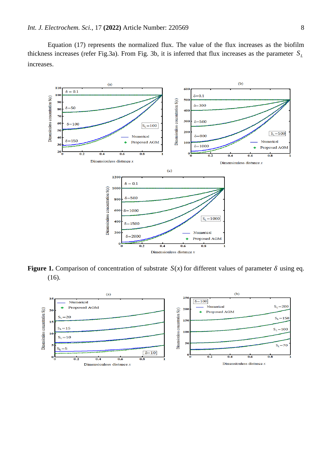Equation (17) represents the normalized flux. The value of the flux increases as the biofilm thickness increases (refer Fig.3a). From Fig. 3b, it is inferred that flux increases as the parameter *L S* increases.



**Figure 1.** Comparison of concentration of substrate  $S(x)$  for different values of parameter  $\delta$  using eq. (16).

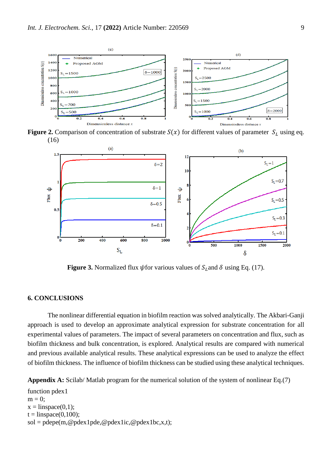

**Figure 2.** Comparison of concentration of substrate  $S(x)$  for different values of parameter  $S<sub>L</sub>$  using eq. (16)



**Figure 3.** Normalized flux  $\psi$  for various values of  $S_L$  and  $\delta$  using Eq. (17).

## **6. CONCLUSIONS**

The nonlinear differential equation in biofilm reaction was solved analytically. The Akbari-Ganji approach is used to develop an approximate analytical expression for substrate concentration for all experimental values of parameters. The impact of several parameters on concentration and flux, such as biofilm thickness and bulk concentration, is explored. Analytical results are compared with numerical and previous available analytical results. These analytical expressions can be used to analyze the effect of biofilm thickness. The influence of biofilm thickness can be studied using these analytical techniques.

**Appendix A:** Scilab/ Matlab program for the numerical solution of the system of nonlinear Eq.(7)

function pdex1  $m = 0$ :  $x = \text{linspace}(0,1);$  $t = \text{linspace}(0,100);$  $sol = p\text{depe}(m, @p\text{dex1pde}, @p\text{dex1ic}, @p\text{dex1bc}, x, t);$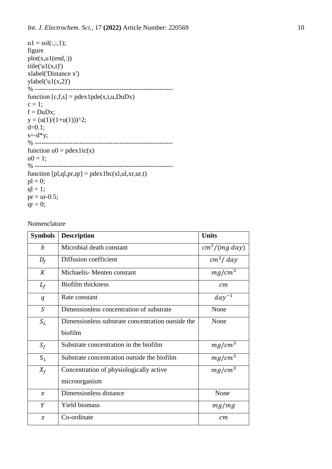```
ul = sol(:,:, 1);figure
plot(x, u1(end,:))title('u1(x,t)')xlabel('Distance x')
ylabel('u1(x,2)')% --------------------------------------------------------------
function [c,f,s] = p \cdot \text{dex} 1 p \cdot \text{dex} (x,t,u,D \cdot \text{u} D x)c = 1;
f = DuDx;
y = (u(1)/(1+u(1)))^2;d=0.1;
s=-d*y;% --------------------------------------------------------------
function u0 = \text{pdex} lic(x)
u0 = 1;
% --------------------------------------------------------------
function [pl,ql,pr,qr] = pdex1bc(xl,ul,xr,ur,t)pl = 0;ql = 1;pr = <i>ur-0.5</i>;qr = 0;
```
Nomenclature

| <b>Symbols</b>   | <b>Description</b>                                | <b>Units</b>         |
|------------------|---------------------------------------------------|----------------------|
| $\boldsymbol{b}$ | Microbial death constant                          | $cm^3/(mg \, day)$   |
| $D_f$            | Diffusion coefficient                             | cm <sup>2</sup> /day |
| K                | Michaelis-Menten constant                         | $mg/cm^3$            |
| $L_f$            | <b>Biofilm</b> thickness                          | cm                   |
| q                | Rate constant                                     | $day^{-1}$           |
| $\mathcal{S}$    | Dimensionless concentration of substrate          | None                 |
| $S_L$            | Dimensionless substrate concentration outside the | None                 |
|                  | biofilm                                           |                      |
| $S_f$            | Substrate concentration in the biofilm            | $mg/cm^3$            |
| $S_1$            | Substrate concentration outside the biofilm       | $mg/cm^3$            |
| $X_f$            | Concentration of physiologically active           | $mg/cm^3$            |
|                  | microorganism                                     |                      |
| $\chi$           | Dimensionless distance                            | None                 |
| Y                | Yield biomass                                     | mg/mg                |
| Z                | Co-ordinate                                       | cm                   |